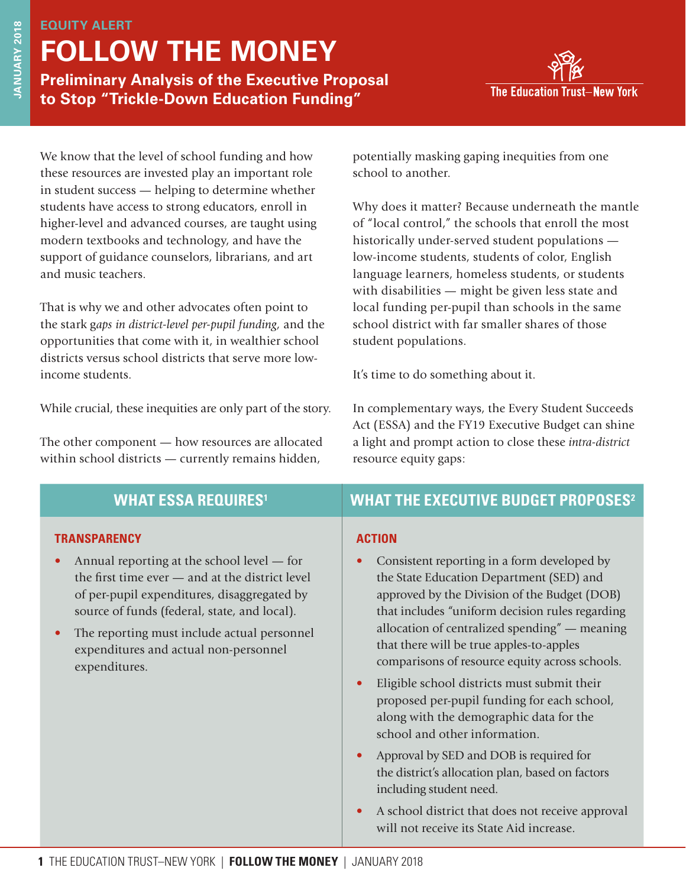# **EQUITY ALERT FOLLOW THE MONEY**

**Preliminary Analysis of the Executive Proposal to Stop "Trickle-Down Education Funding"**



We know that the level of school funding and how these resources are invested play an important role in student success — helping to determine whether students have access to strong educators, enroll in higher-level and advanced courses, are taught using modern textbooks and technology, and have the support of guidance counselors, librarians, and art and music teachers.

That is why we and other advocates often point to the stark g*aps in district-level per-pupil funding,* and the opportunities that come with it, in wealthier school districts versus school districts that serve more lowincome students.

While crucial, these inequities are only part of the story.

The other component — how resources are allocated within school districts — currently remains hidden,

potentially masking gaping inequities from one school to another.

Why does it matter? Because underneath the mantle of "local control," the schools that enroll the most historically under-served student populations low-income students, students of color, English language learners, homeless students, or students with disabilities — might be given less state and local funding per-pupil than schools in the same school district with far smaller shares of those student populations.

It's time to do something about it.

In complementary ways, the Every Student Succeeds Act (ESSA) and the FY19 Executive Budget can shine a light and prompt action to close these *intra-district*  resource equity gaps:

| <b>WHAT ESSA REQUIRES<sup>1</sup></b> |  |  |
|---------------------------------------|--|--|
|                                       |  |  |

#### **TRANSPARENCY**

- Annual reporting at the school level for the first time ever — and at the district level of per-pupil expenditures, disaggregated by source of funds (federal, state, and local).
- The reporting must include actual personnel expenditures and actual non-personnel expenditures.

## **WHAT ESSA REQUIRES1 WHAT THE EXECUTIVE BUDGET PROPOSES2**

#### **ACTION**

- Consistent reporting in a form developed by the State Education Department (SED) and approved by the Division of the Budget (DOB) that includes "uniform decision rules regarding allocation of centralized spending" — meaning that there will be true apples-to-apples comparisons of resource equity across schools.
- Eligible school districts must submit their proposed per-pupil funding for each school, along with the demographic data for the school and other information.
- Approval by SED and DOB is required for the district's allocation plan, based on factors including student need.
- A school district that does not receive approval will not receive its State Aid increase.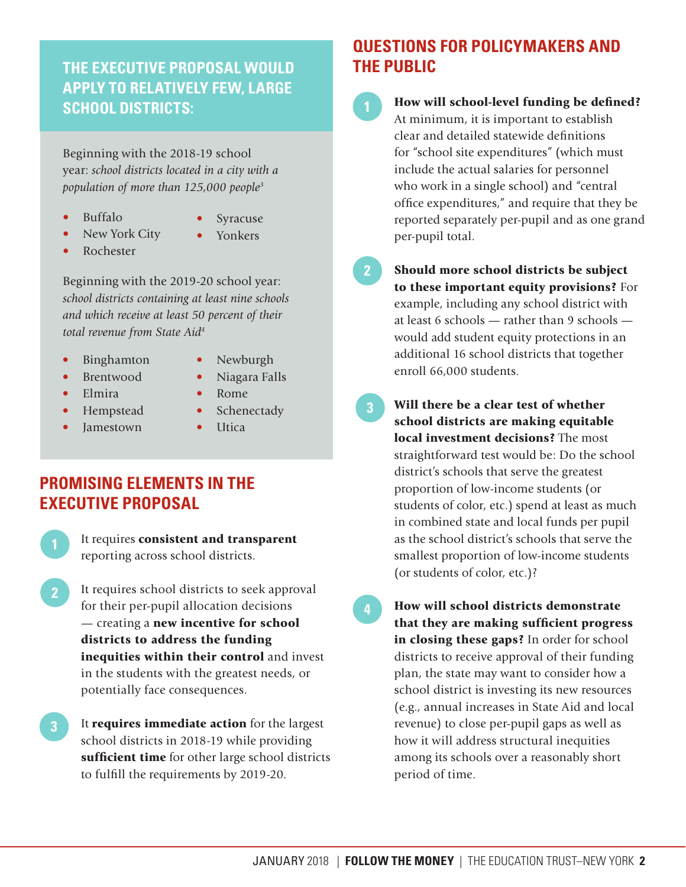## **THE EXECUTIVE PROPOSAL WOULD APPLY TO RELATIVELY FEW, LARGE SCHOOL DISTRICTS:**

Beginning with the 2018-19 school year: *school districts located in a city with a population of more than 125,000 people3*

- Buffalo
- **Syracuse**
- New York City
- Yonkers
- Rochester

Beginning with the 2019-20 school year: *school districts containing at least nine schools and which receive at least 50 percent of their* 

• Binghamton

*total revenue from State Aid4* 

- Newburgh
- Brentwood
- Niagara Falls • Rome
- Hempstead

• Elmira

- Jamestown • Schenectady
	- **Utica**

## **PROMISING ELEMENTS IN THE EXECUTIVE PROPOSAL**

It requires consistent and transparent reporting across school districts.

- It requires school districts to seek approval for their per-pupil allocation decisions — creating a new incentive for school districts to address the funding inequities within their control and invest in the students with the greatest needs, or potentially face consequences. **2**
- It requires immediate action for the largest school districts in 2018-19 while providing sufficient time for other large school districts to fulfill the requirements by 2019-20. **3**

# **QUESTIONS FOR POLICYMAKERS AND THE PUBLIC**

- How will school-level funding be defined? At minimum, it is important to establish clear and detailed statewide definitions for "school site expenditures" (which must include the actual salaries for personnel who work in a single school) and "central office expenditures," and require that they be reported separately per-pupil and as one grand per-pupil total.
- **2**
- Should more school districts be subject to these important equity provisions? For example, including any school district with at least 6 schools — rather than 9 schools would add student equity protections in an additional 16 school districts that together enroll 66,000 students.
- Will there be a clear test of whether school districts are making equitable local investment decisions? The most straightforward test would be: Do the school district's schools that serve the greatest proportion of low-income students (or students of color, etc.) spend at least as much in combined state and local funds per pupil as the school district's schools that serve the smallest proportion of low-income students (or students of color, etc.)? **3**
- **4**

How will school districts demonstrate that they are making sufficient progress in closing these gaps? In order for school districts to receive approval of their funding plan, the state may want to consider how a school district is investing its new resources (e.g., annual increases in State Aid and local revenue) to close per-pupil gaps as well as how it will address structural inequities among its schools over a reasonably short period of time.